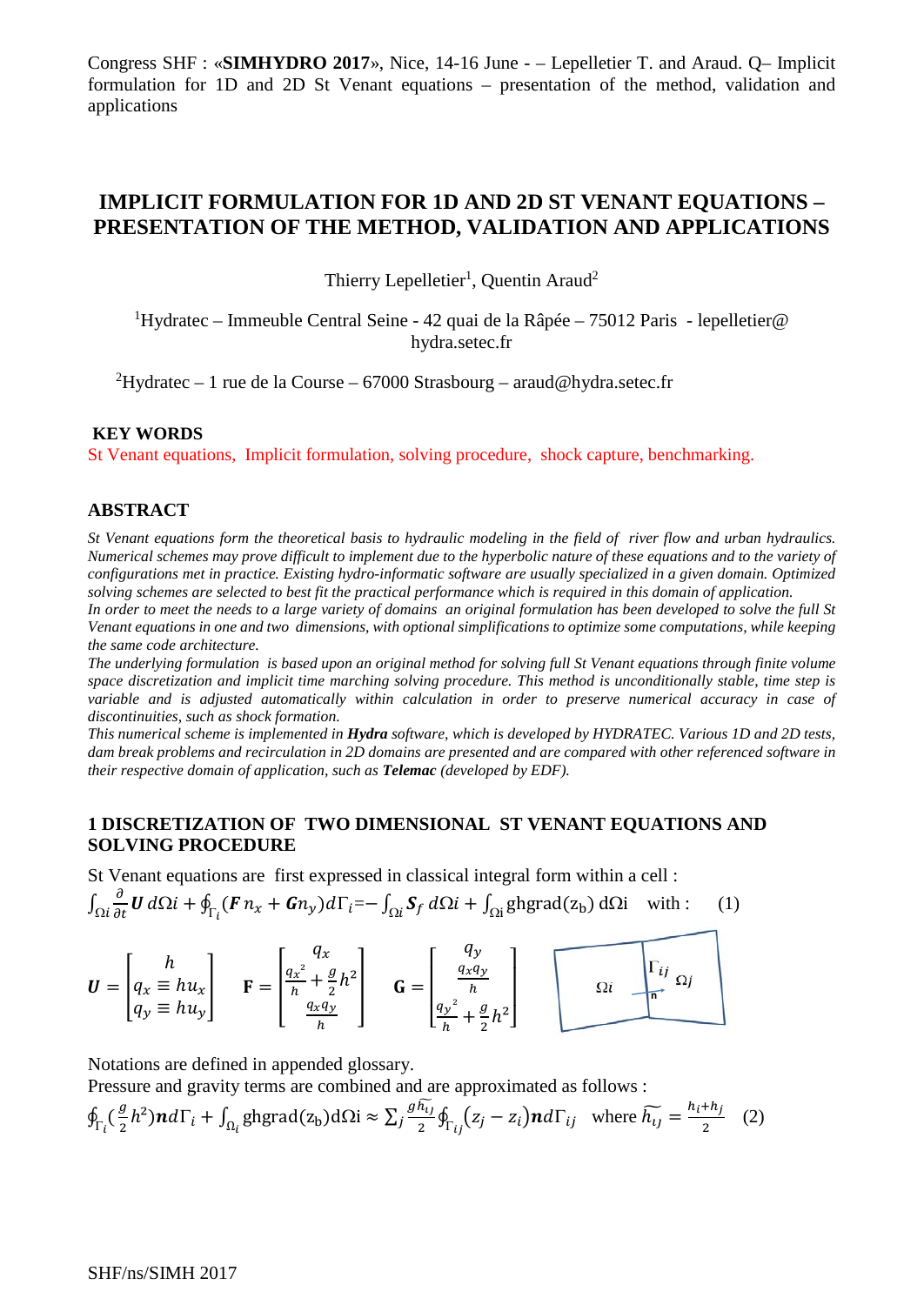# **IMPLICIT FORMULATION FOR 1D AND 2D ST VENANT EQUATIONS – PRESENTATION OF THE METHOD, VALIDATION AND APPLICATIONS**

Thierry Lepelletier<sup>1</sup>, Quentin Araud<sup>2</sup>

<sup>1</sup>Hydratec – Immeuble Central Seine - 42 quai de la Râpée – 75012 Paris - lepelletier@ hydra.setec.fr

2 Hydratec – 1 rue de la Course – 67000 Strasbourg – araud@hydra.setec.fr

#### **KEY WORDS**

St Venant equations, Implicit formulation, solving procedure, shock capture, benchmarking.

### **ABSTRACT**

*St Venant equations form the theoretical basis to hydraulic modeling in the field of river flow and urban hydraulics. Numerical schemes may prove difficult to implement due to the hyperbolic nature of these equations and to the variety of configurations met in practice. Existing hydro-informatic software are usually specialized in a given domain. Optimized solving schemes are selected to best fit the practical performance which is required in this domain of application.*

*In order to meet the needs to a large variety of domains an original formulation has been developed to solve the full St Venant equations in one and two dimensions, with optional simplifications to optimize some computations, while keeping the same code architecture.*

*The underlying formulation is based upon an original method for solving full St Venant equations through finite volume space discretization and implicit time marching solving procedure. This method is unconditionally stable, time step is variable and is adjusted automatically within calculation in order to preserve numerical accuracy in case of discontinuities, such as shock formation.* 

*This numerical scheme is implemented in Hydra software, which is developed by HYDRATEC. Various 1D and 2D tests, dam break problems and recirculation in 2D domains are presented and are compared with other referenced software in their respective domain of application, such as Telemac (developed by EDF).*

### **1 DISCRETIZATION OF TWO DIMENSIONAL ST VENANT EQUATIONS AND SOLVING PROCEDURE**

St Venant equations are first expressed in classical integral form within a cell :  $\int_{\Omega i} \frac{\partial}{\partial t} \mathbf{U} d\Omega i + \oint_{\Gamma_i} (\mathbf{F} n_x + \mathbf{G} n_y) d\Gamma_i = - \int_{\Omega i} \mathbf{S}_f d\Omega i + \int_{\Omega i} \text{ghgrad}(z_b) d\Omega i$  with : (1)

$$
\boldsymbol{U} = \begin{bmatrix} h \\ q_x \equiv h u_x \\ q_y \equiv h u_y \end{bmatrix} \qquad \mathbf{F} = \begin{bmatrix} q_x \\ \frac{q_x^2}{h} + \frac{g}{2} h^2 \\ \frac{q_x q_y}{h} \end{bmatrix} \qquad \mathbf{G} = \begin{bmatrix} q_y \\ \frac{q_x q_y}{h} \\ \frac{q_y^2}{h} + \frac{g}{2} h^2 \end{bmatrix} \qquad \qquad \Omega \qquad \Omega \qquad \Omega
$$

Notations are defined in appended glossary.

Pressure and gravity terms are combined and are approximated as follows :

$$
\oint_{\Gamma_i} \left(\frac{g}{2}h^2\right) nd \Gamma_i + \int_{\Omega_i} \text{ghgrad}(z_b) d\Omega i \approx \sum_j \frac{gh_{ij}}{2} \oint_{\Gamma_{ij}} \left(z_j - z_i\right) nd \Gamma_{ij} \quad \text{where } \widetilde{h_{ij}} = \frac{h_i + h_j}{2} \quad (2)
$$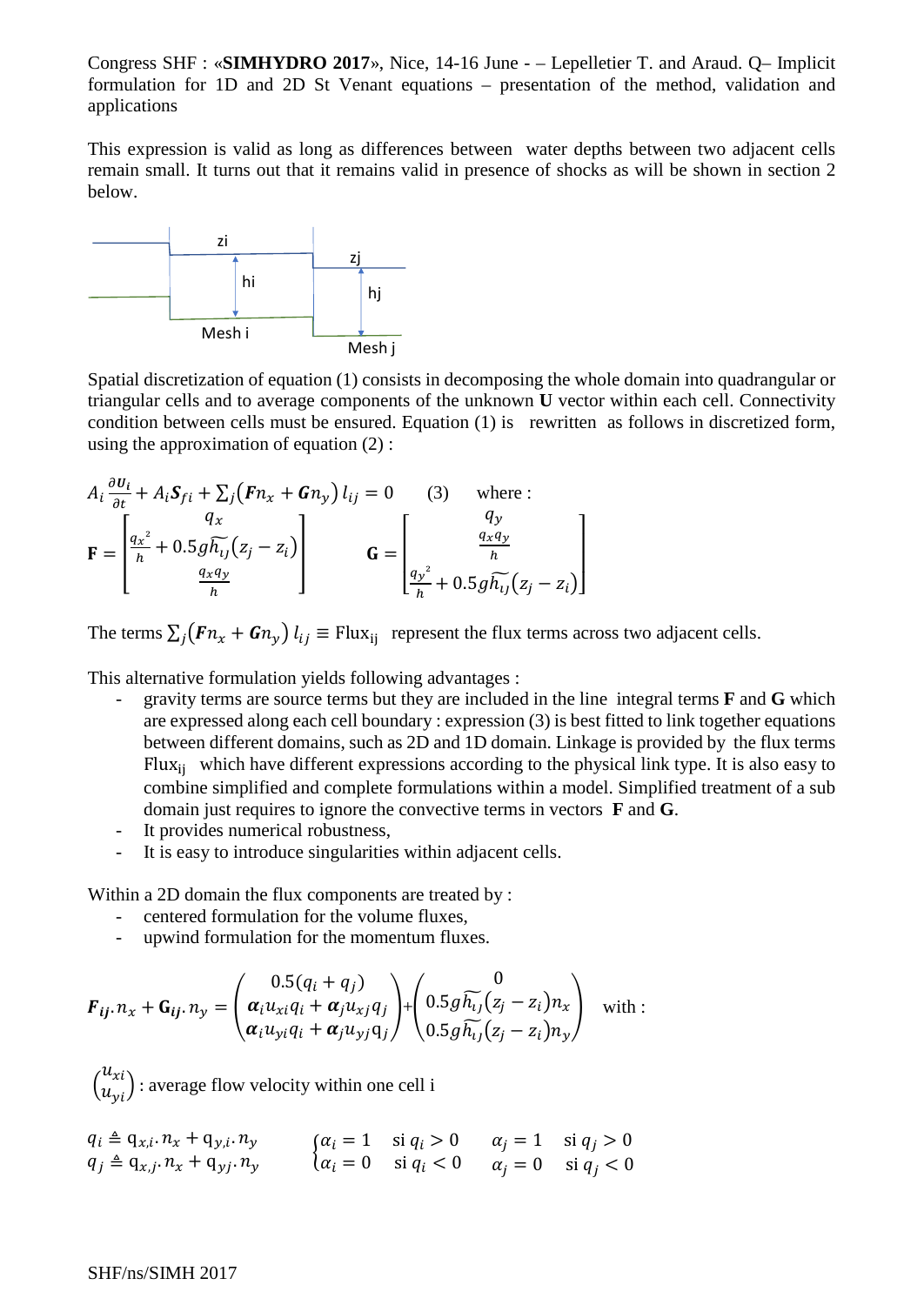This expression is valid as long as differences between water depths between two adjacent cells remain small. It turns out that it remains valid in presence of shocks as will be shown in section 2 below.



Spatial discretization of equation (1) consists in decomposing the whole domain into quadrangular or triangular cells and to average components of the unknown **U** vector within each cell. Connectivity condition between cells must be ensured. Equation (1) is rewritten as follows in discretized form, using the approximation of equation (2) :

$$
A_i \frac{\partial u_i}{\partial t} + A_i S_{fi} + \sum_j (F n_x + G n_y) l_{ij} = 0 \qquad (3) \qquad \text{where :}
$$
  

$$
\mathbf{F} = \begin{bmatrix} q_x \\ \frac{q_x^2}{h} + 0.5 g \widetilde{h_{ij}} (z_j - z_i) \\ \frac{q_x q_y}{h} \end{bmatrix} \qquad \mathbf{G} = \begin{bmatrix} q_y \\ \frac{q_x q_y}{h} \\ \frac{q_y^2}{h} + 0.5 g \widetilde{h_{ij}} (z_j - z_i) \end{bmatrix}
$$

The terms  $\sum_i (F n_x + G n_y) l_{ij} \equiv$  Flux<sub>ij</sub> represent the flux terms across two adjacent cells.

This alternative formulation yields following advantages :

- gravity terms are source terms but they are included in the line integral terms **F** and **G** which are expressed along each cell boundary : expression (3) is best fitted to link together equations between different domains, such as 2D and 1D domain. Linkage is provided by the flux terms Flux<sub>ii</sub> which have different expressions according to the physical link type. It is also easy to combine simplified and complete formulations within a model. Simplified treatment of a sub domain just requires to ignore the convective terms in vectors **F** and **G**.
- It provides numerical robustness,
- It is easy to introduce singularities within adjacent cells.

Within a 2D domain the flux components are treated by :

- centered formulation for the volume fluxes,
- upwind formulation for the momentum fluxes.

$$
\boldsymbol{F}_{ij} \cdot n_x + \mathbf{G}_{ij} \cdot n_y = \begin{pmatrix} 0.5(q_i + q_j) \\ \boldsymbol{\alpha}_i u_{xi} q_i + \boldsymbol{\alpha}_j u_{xj} q_j \\ \boldsymbol{\alpha}_i u_{yi} q_i + \boldsymbol{\alpha}_j u_{yj} q_j \end{pmatrix} + \begin{pmatrix} 0 \\ 0.5g \widetilde{h_{ij}}(z_j - z_i) n_x \\ 0.5g \widetilde{h_{ij}}(z_j - z_i) n_y \end{pmatrix} \text{ with :}
$$

∖  $\begin{pmatrix} u_{xi} \\ u_{yi} \end{pmatrix}$ : average flow velocity within one cell i

$$
q_i \triangleq q_{x,i}.n_x + q_{y,i}.n_y
$$
  
\n
$$
q_j \triangleq q_{x,j}.n_x + q_{y,j}.n_y
$$
  
\n
$$
\begin{cases} \alpha_i = 1 & \text{si } q_i > 0 \\ \alpha_i = 0 & \text{si } q_i < 0 \end{cases}
$$
  
\n
$$
\alpha_j = 1 \quad \text{si } q_j > 0
$$
  
\n
$$
\alpha_j = 0 \quad \text{si } q_j < 0
$$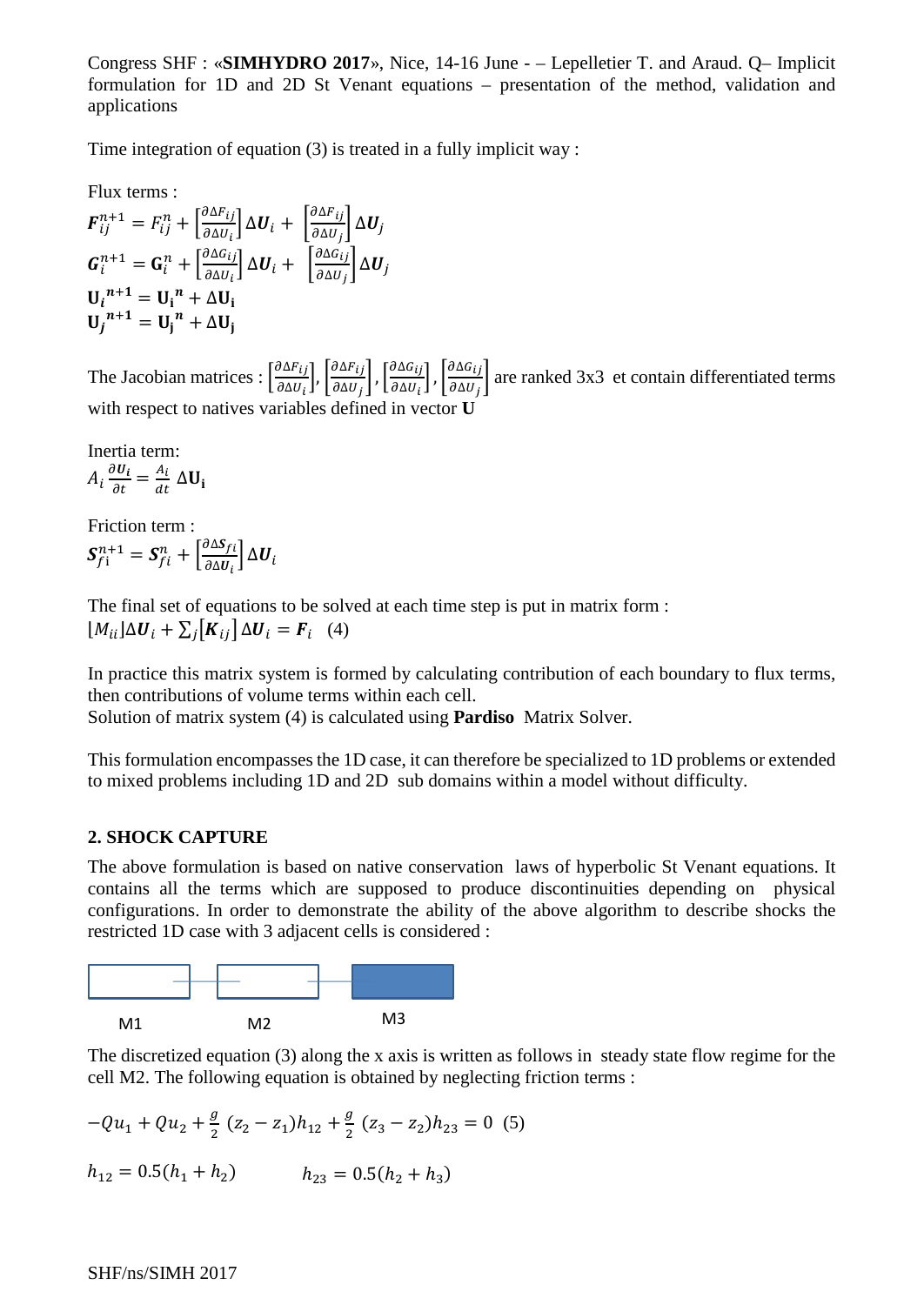Time integration of equation (3) is treated in a fully implicit way :

Flux terms :

$$
F_{ij}^{n+1} = F_{ij}^{n} + \left[\frac{\partial \Delta F_{ij}}{\partial \Delta U_{i}}\right] \Delta U_{i} + \left[\frac{\partial \Delta F_{ij}}{\partial \Delta U_{j}}\right] \Delta U_{j}
$$
  
\n
$$
G_{i}^{n+1} = G_{i}^{n} + \left[\frac{\partial \Delta G_{ij}}{\partial \Delta U_{i}}\right] \Delta U_{i} + \left[\frac{\partial \Delta G_{ij}}{\partial \Delta U_{j}}\right] \Delta U_{j}
$$
  
\n
$$
U_{i}^{n+1} = U_{i}^{n} + \Delta U_{i}
$$
  
\n
$$
U_{j}^{n+1} = U_{j}^{n} + \Delta U_{j}
$$

The Jacobian matrices :  $\frac{\partial \Delta F_{ij}}{\partial \Delta U_i}$  $\left[\frac{\partial \Delta F_{ij}}{\partial \Delta U_i}\right], \left[\frac{\partial \Delta F_{ij}}{\partial \Delta U_j}\right], \left[\frac{\partial \Delta G_{ij}}{\partial \Delta U_i}\right]$  $\left(\frac{\partial \Delta G_{ij}}{\partial \Delta U_i}\right)$ ,  $\left(\frac{\partial \Delta G_{ij}}{\partial \Delta U_j}\right)$  are ranked 3x3 et contain differentiated terms with respect to natives variables defined in vector **U**

Inertia term:  
\n
$$
A_i \frac{\partial U_i}{\partial t} = \frac{A_i}{dt} \Delta U_i
$$

Friction term :  $S_{f1}^{n+1} = S_{fi}^n + \left[\frac{\partial \Delta S_f}{\partial \Delta U_i}\right]$  $\frac{\partial}{\partial \Delta u_i} \Delta u_i$ 

The final set of equations to be solved at each time step is put in matrix form :  $[M_{ii}]\Delta U_i + \sum_j[K_{ij}]\Delta U_i = F_i$  (4)

In practice this matrix system is formed by calculating contribution of each boundary to flux terms, then contributions of volume terms within each cell.

Solution of matrix system (4) is calculated using **Pardiso** Matrix Solver.

This formulation encompasses the 1D case, it can therefore be specialized to 1D problems or extended to mixed problems including 1D and 2D sub domains within a model without difficulty.

## **2. SHOCK CAPTURE**

The above formulation is based on native conservation laws of hyperbolic St Venant equations. It contains all the terms which are supposed to produce discontinuities depending on physical configurations. In order to demonstrate the ability of the above algorithm to describe shocks the restricted 1D case with 3 adjacent cells is considered :



The discretized equation (3) along the x axis is written as follows in steady state flow regime for the cell M2. The following equation is obtained by neglecting friction terms :

$$
-Qu_1 + Qu_2 + \frac{g}{2}(z_2 - z_1)h_{12} + \frac{g}{2}(z_3 - z_2)h_{23} = 0
$$
 (5)  

$$
h_{12} = 0.5(h_1 + h_2) \qquad h_{23} = 0.5(h_2 + h_3)
$$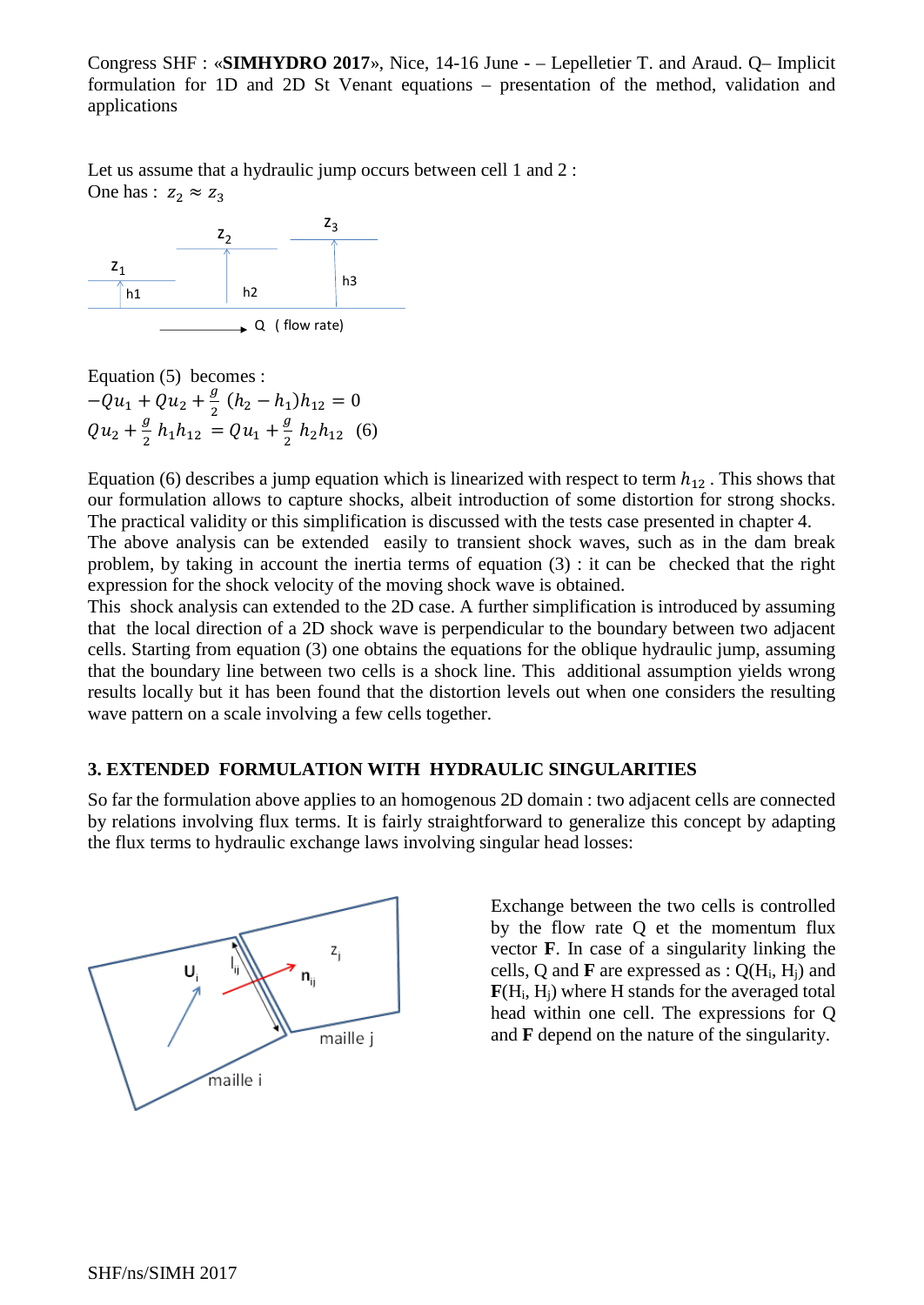Let us assume that a hydraulic jump occurs between cell 1 and 2 : One has :  $z_2 \approx z_3$ 



Equation (5) becomes :  $-Qu_1 + Qu_2 + \frac{g}{2} (h_2 - h_1)h_{12} = 0$  $Qu_2 + \frac{g}{2} h_1 h_{12} = Qu_1 + \frac{g}{2} h_2 h_{12}$  (6)

Equation (6) describes a jump equation which is linearized with respect to term  $h_{12}$ . This shows that our formulation allows to capture shocks, albeit introduction of some distortion for strong shocks. The practical validity or this simplification is discussed with the tests case presented in chapter 4.

The above analysis can be extended easily to transient shock waves, such as in the dam break problem, by taking in account the inertia terms of equation (3) : it can be checked that the right expression for the shock velocity of the moving shock wave is obtained.

This shock analysis can extended to the 2D case. A further simplification is introduced by assuming that the local direction of a 2D shock wave is perpendicular to the boundary between two adjacent cells. Starting from equation (3) one obtains the equations for the oblique hydraulic jump, assuming that the boundary line between two cells is a shock line. This additional assumption yields wrong results locally but it has been found that the distortion levels out when one considers the resulting wave pattern on a scale involving a few cells together.

### **3. EXTENDED FORMULATION WITH HYDRAULIC SINGULARITIES**

So far the formulation above applies to an homogenous 2D domain : two adjacent cells are connected by relations involving flux terms. It is fairly straightforward to generalize this concept by adapting the flux terms to hydraulic exchange laws involving singular head losses:



Exchange between the two cells is controlled by the flow rate Q et the momentum flux vector **F**. In case of a singularity linking the cells, Q and **F** are expressed as : Q(Hi, Hj) and **F**(Hi, Hj) where H stands for the averaged total head within one cell. The expressions for Q and **F** depend on the nature of the singularity.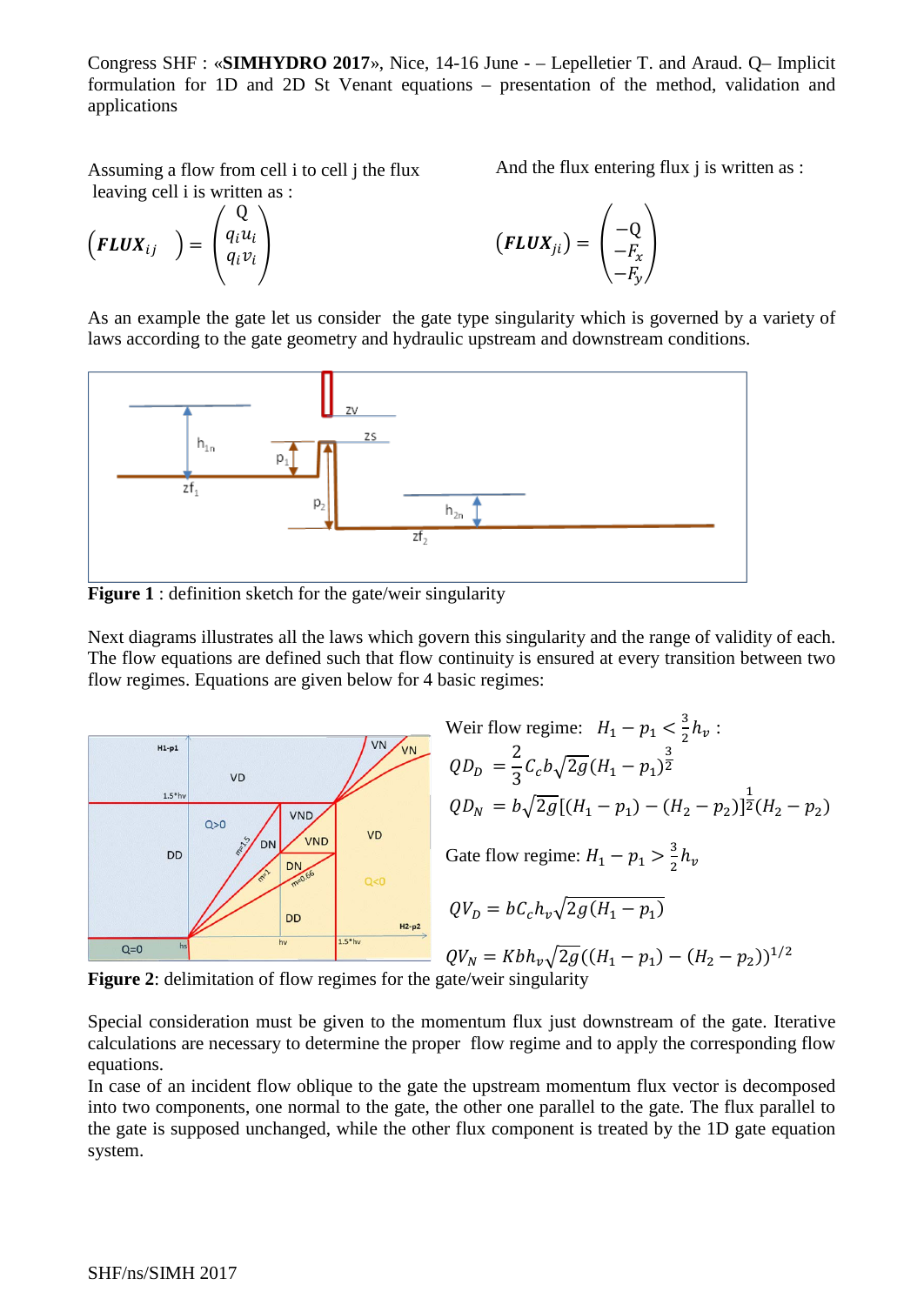Assuming a flow from cell i to cell j the flux leaving cell i is written as :  $\sqrt{2}$ 

$$
\left(\boldsymbol{FLUX}_{ij}\right)=\left(\begin{matrix}\mathbf{Q}\\\boldsymbol{q}_i\boldsymbol{u}_i\\\boldsymbol{q}_i\boldsymbol{v}_i\end{matrix}\right)
$$

$$
(\mathbf{FLUX}_{ji}) = \begin{pmatrix} -Q \\ -F_x \\ -F_y \end{pmatrix}
$$

And the flux entering flux *j* is written as :

As an example the gate let us consider the gate type singularity which is governed by a variety of laws according to the gate geometry and hydraulic upstream and downstream conditions.



**Figure 1** : definition sketch for the gate/weir singularity

Next diagrams illustrates all the laws which govern this singularity and the range of validity of each. The flow equations are defined such that flow continuity is ensured at every transition between two flow regimes. Equations are given below for 4 basic regimes:



Weir flow regime: 
$$
H_1 - p_1 < \frac{3}{2} h_v
$$
:  
\n $QD_D = \frac{2}{3} C_c b \sqrt{2g} (H_1 - p_1)^{\frac{3}{2}}$   
\n $QD_N = b \sqrt{2g} [(H_1 - p_1) - (H_2 - p_2)]^{\frac{1}{2}} (H_2 - p_2)$   
\nGate flow regime:  $H_1 - p_1 > \frac{3}{2} h_v$   
\n $QV_D = bC_c h_v \sqrt{2g (H_1 - p_1)}$   
\n $QV_N = K b h_v \sqrt{2g} ((H_1 - p_1) - (H_2 - p_2))^{1/2}$   
\nrate/weir singularity

**Figure 2**: delimitation of flow regimes for the ga

Special consideration must be given to the momentum flux just downstream of the gate. Iterative calculations are necessary to determine the proper flow regime and to apply the corresponding flow equations.

In case of an incident flow oblique to the gate the upstream momentum flux vector is decomposed into two components, one normal to the gate, the other one parallel to the gate. The flux parallel to the gate is supposed unchanged, while the other flux component is treated by the 1D gate equation system.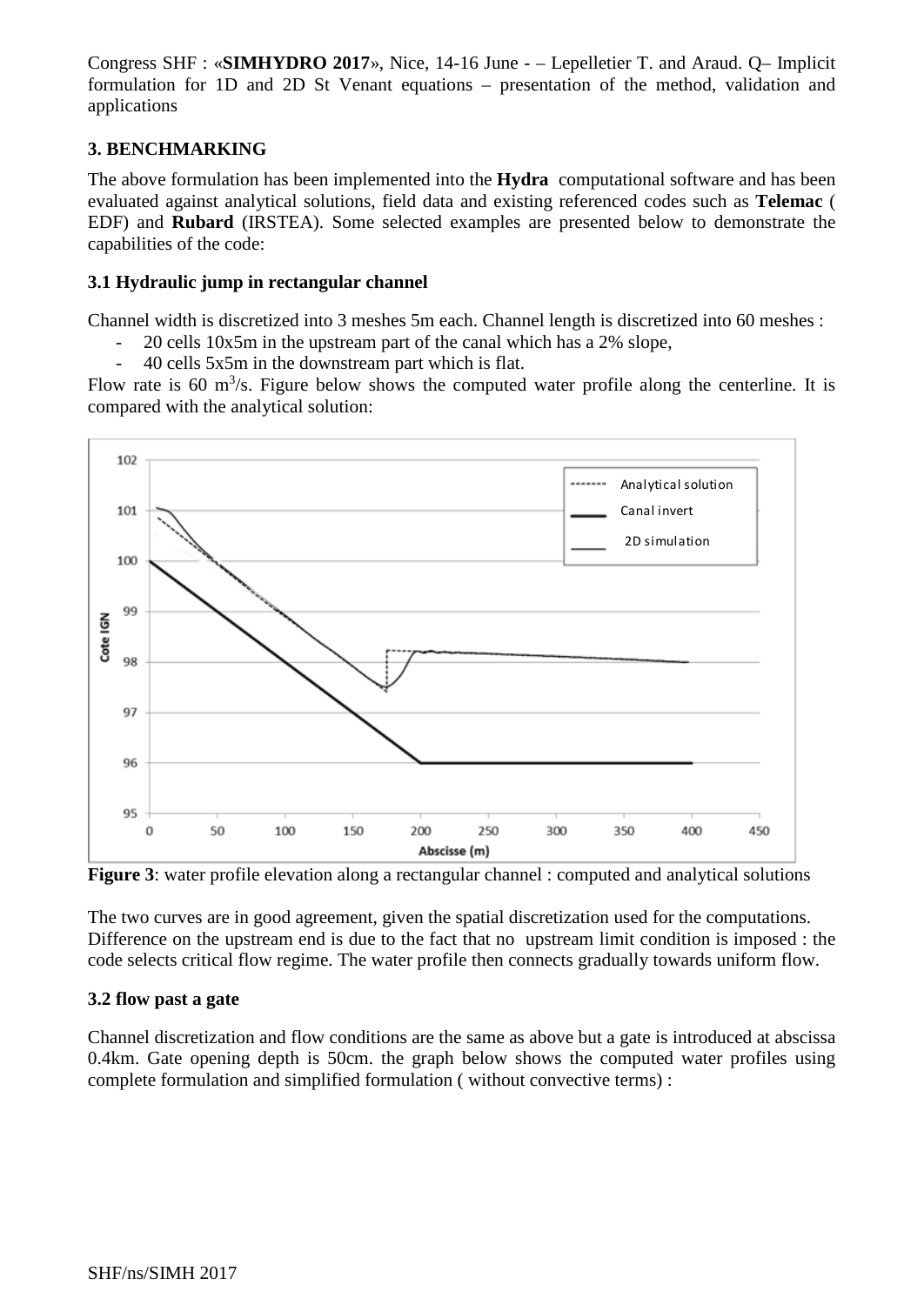# **3. BENCHMARKING**

The above formulation has been implemented into the **Hydra** computational software and has been evaluated against analytical solutions, field data and existing referenced codes such as **Telemac** ( EDF) and **Rubard** (IRSTEA). Some selected examples are presented below to demonstrate the capabilities of the code:

## **3.1 Hydraulic jump in rectangular channel**

Channel width is discretized into 3 meshes 5m each. Channel length is discretized into 60 meshes :

- 20 cells 10x5m in the upstream part of the canal which has a 2% slope,
- 40 cells 5x5m in the downstream part which is flat.

Flow rate is 60  $\mathrm{m}^3$ /s. Figure below shows the computed water profile along the centerline. It is compared with the analytical solution:



**Figure 3**: water profile elevation along a rectangular channel : computed and analytical solutions

The two curves are in good agreement, given the spatial discretization used for the computations. Difference on the upstream end is due to the fact that no upstream limit condition is imposed : the code selects critical flow regime. The water profile then connects gradually towards uniform flow.

## **3.2 flow past a gate**

Channel discretization and flow conditions are the same as above but a gate is introduced at abscissa 0.4km. Gate opening depth is 50cm. the graph below shows the computed water profiles using complete formulation and simplified formulation ( without convective terms) :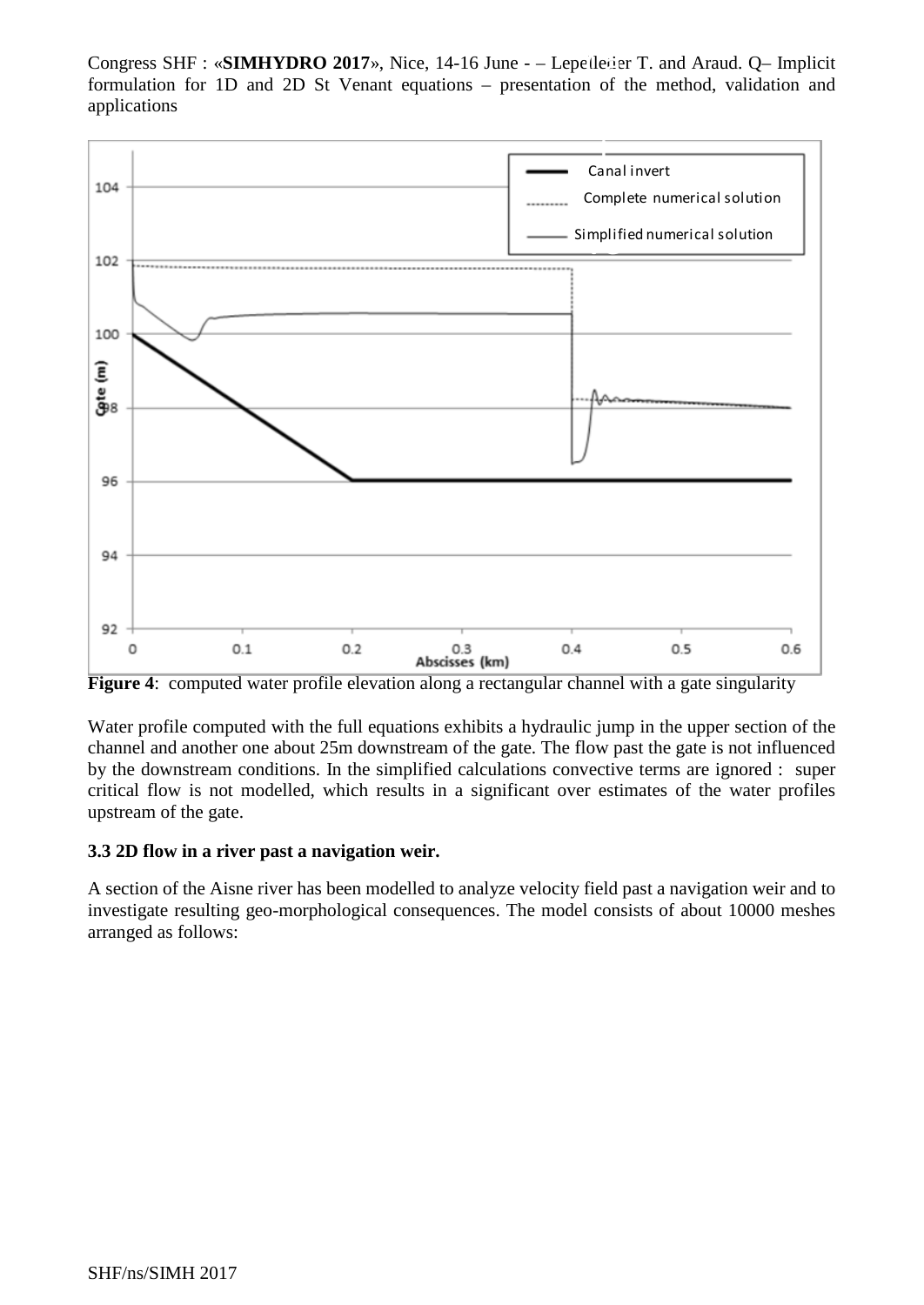Congress SHF : «**SIMHYDRO 2017**», Nice, 14-16 June - – Lepelletier T. and Araud. Q– Implicit formulation for 1D and 2D St Venant equations approachable of the method validation and formulation for 1D and 2D St Venant equations – presentation of the method, validation and applications



**Figure 4:** computed water profile elevation along a rectangular channel with a gate singularity

Water profile computed with the full equations exhibits a hydraulic jump in the upper section of the channel and another one about 25m downstream of the gate. The flow past the gate is not influenced by the downstream conditions. In the simplified calculations convective terms are ignored : super critical flow is not modelled, which results in a significant over estimates of the water profiles upstream of the gate.

# **3.3 2D flow in a river past a navigation weir.**

A section of the Aisne river has been modelled to analyze velocity field past a navigation weir and to investigate resulting geo-morphological consequences. The model consists of about 10000 meshes arranged as follows: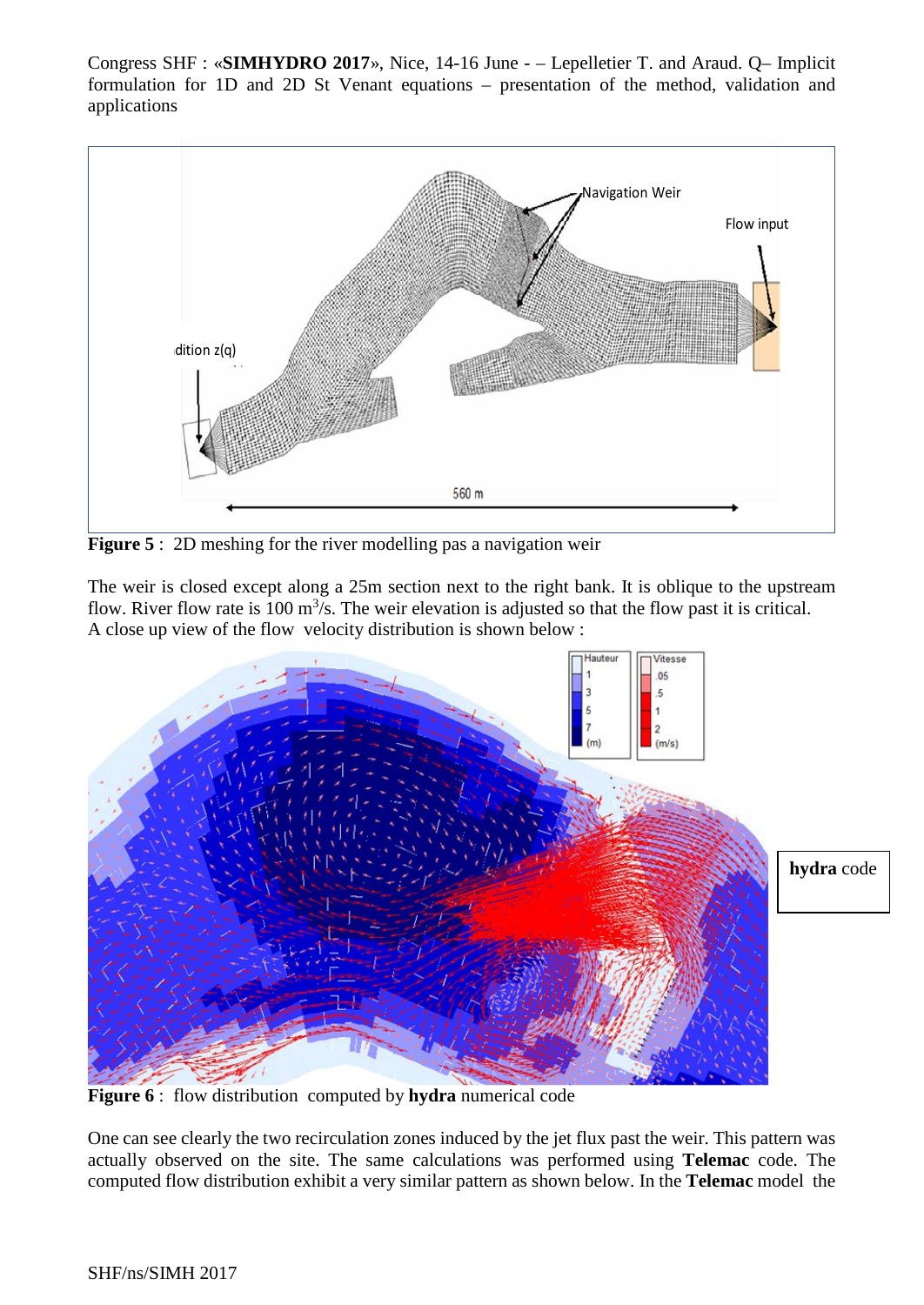

**Figure 5** : 2D meshing for the river modelling pas a navigation weir

The weir is closed except along a 25m section next to the right bank. It is oblique to the upstream flow. River flow rate is 100  $\mathrm{m}^3$ /s. The weir elevation is adjusted so that the flow past it is critical. A close up view of the flow velocity distribution is shown below :



**Figure 6** : flow distribution computed by **hydra** numerical code

One can see clearly the two recirculation zones induced by the jet flux past the weir. This pattern was actually observed on the site. The same calculations was performed using **Telemac** code. The computed flow distribution exhibit a very similar pattern as shown below. In the **Telemac** model the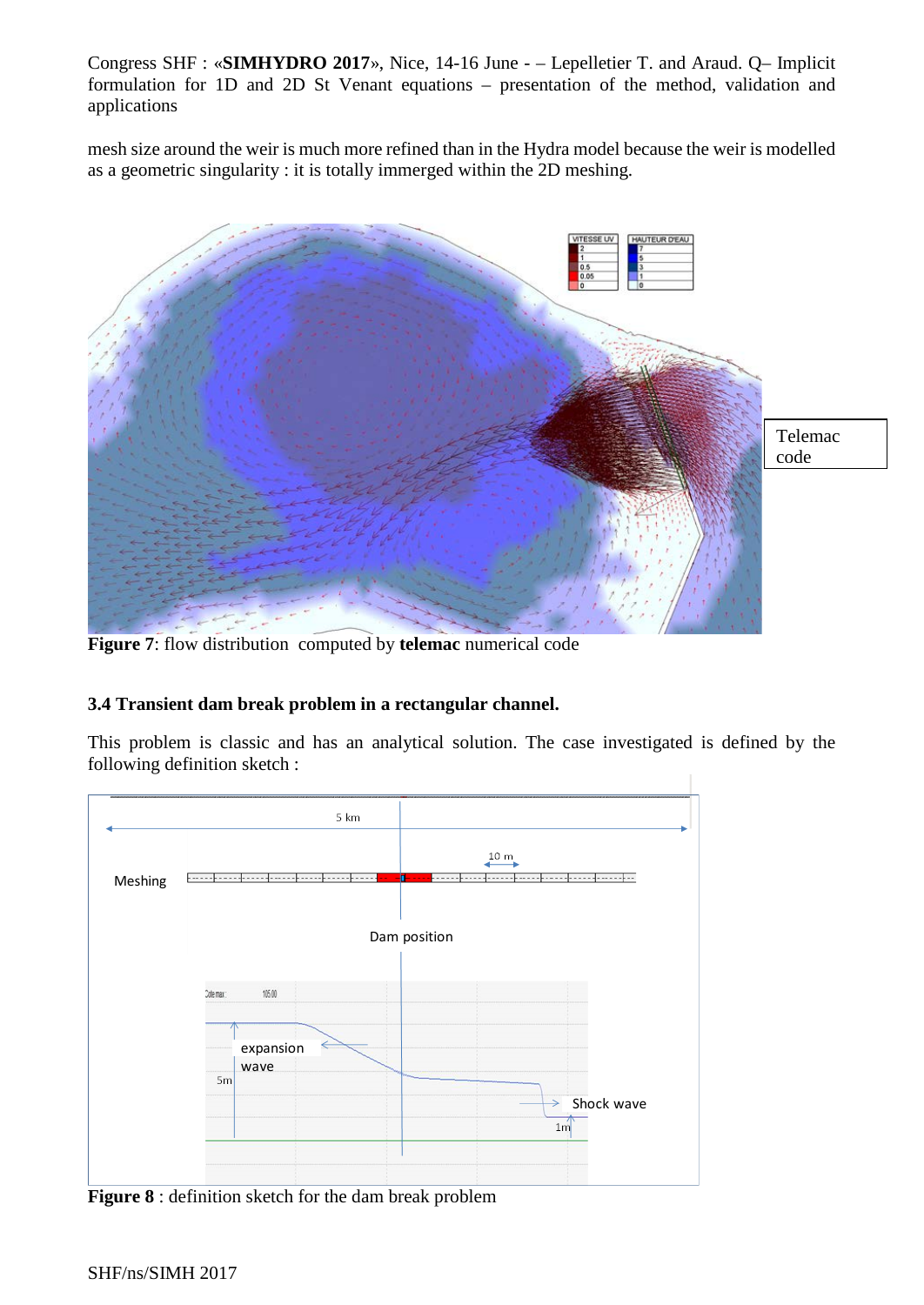mesh size around the weir is much more refined than in the Hydra model because the weir is modelled as a geometric singularity : it is totally immerged within the 2D meshing.



**Figure 7**: flow distribution computed by **telemac** numerical code

# **3.4 Transient dam break problem in a rectangular channel.**

This problem is classic and has an analytical solution. The case investigated is defined by the following definition sketch :



**Figure 8** : definition sketch for the dam break problem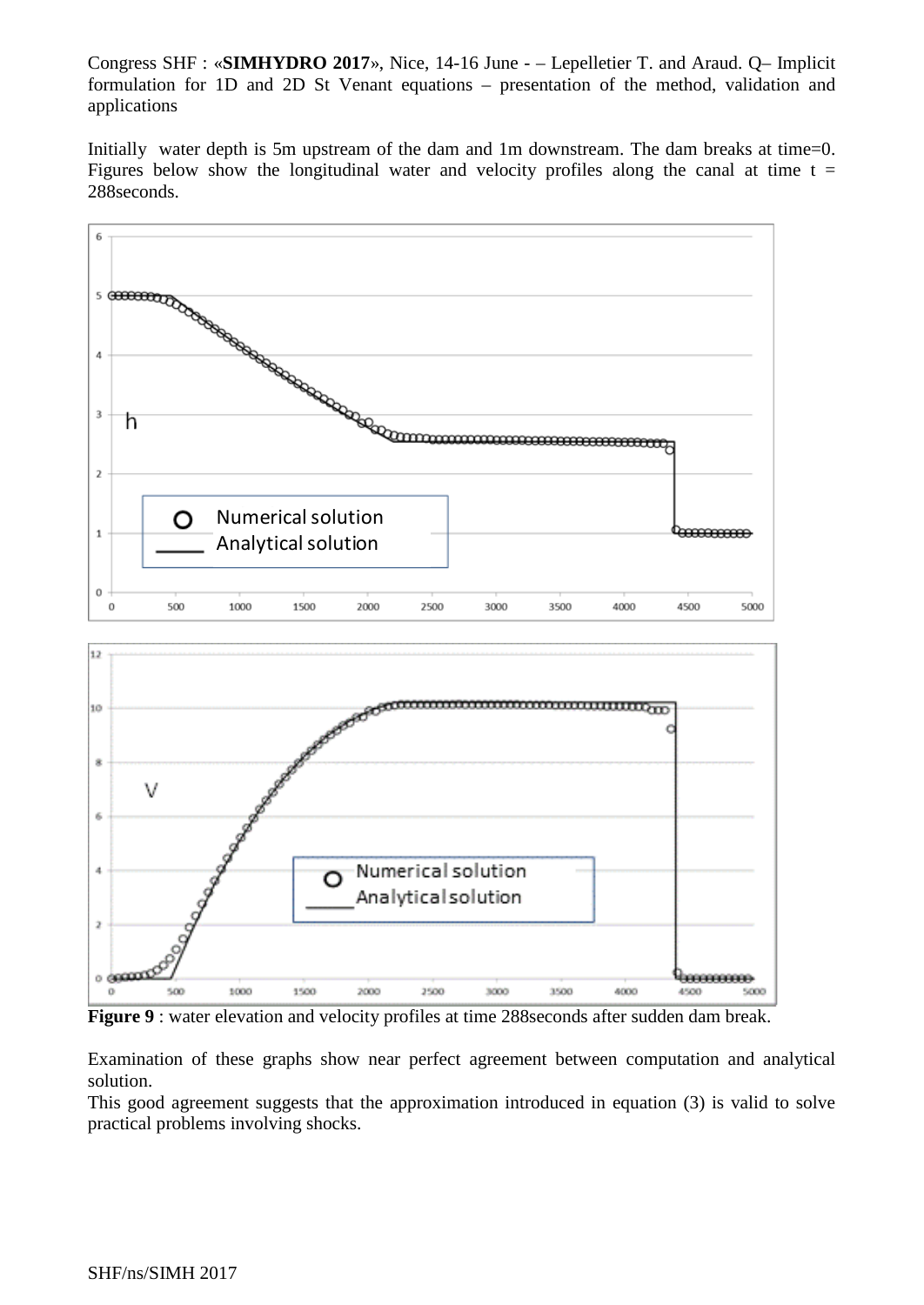Initially water depth is 5m upstream of the dam and 1m downstream. The dam breaks at time=0. Figures below show the longitudinal water and velocity profiles along the canal at time  $t =$ 288seconds.



**Figure 9** : water elevation and velocity profiles at time 288 seconds after sudden dam break.

Examination of these graphs show near perfect agreement between computation and analytical solution.

This good agreement suggests that the approximation introduced in equation (3) is valid to solve practical problems involving shocks.